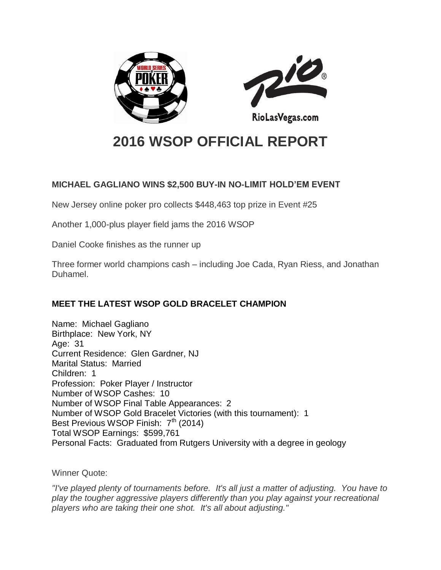



RioLasVegas.com

# **2016 WSOP OFFICIAL REPORT**

### **MICHAEL GAGLIANO WINS \$2,500 BUY-IN NO-LIMIT HOLD'EM EVENT**

New Jersey online poker pro collects \$448,463 top prize in Event #25

Another 1,000-plus player field jams the 2016 WSOP

Daniel Cooke finishes as the runner up

Three former world champions cash – including Joe Cada, Ryan Riess, and Jonathan Duhamel.

## **MEET THE LATEST WSOP GOLD BRACELET CHAMPION**

Name: Michael Gagliano Birthplace: New York, NY Age: 31 Current Residence: Glen Gardner, NJ Marital Status: Married Children: 1 Profession: Poker Player / Instructor Number of WSOP Cashes: 10 Number of WSOP Final Table Appearances: 2 Number of WSOP Gold Bracelet Victories (with this tournament): 1 Best Previous WSOP Finish:  $7<sup>th</sup>$  (2014) Total WSOP Earnings: \$599,761 Personal Facts: Graduated from Rutgers University with a degree in geology

Winner Quote:

*"I've played plenty of tournaments before. It's all just a matter of adjusting. You have to play the tougher aggressive players differently than you play against your recreational players who are taking their one shot. It's all about adjusting."*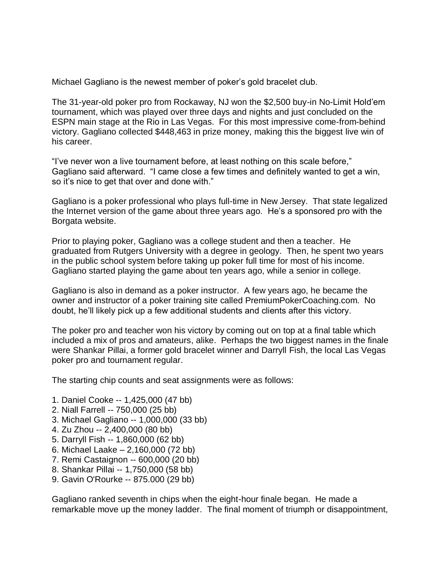Michael Gagliano is the newest member of poker's gold bracelet club.

The 31-year-old poker pro from Rockaway, NJ won the \$2,500 buy-in No-Limit Hold'em tournament, which was played over three days and nights and just concluded on the ESPN main stage at the Rio in Las Vegas. For this most impressive come-from-behind victory. Gagliano collected \$448,463 in prize money, making this the biggest live win of his career.

"I've never won a live tournament before, at least nothing on this scale before," Gagliano said afterward. "I came close a few times and definitely wanted to get a win, so it's nice to get that over and done with."

Gagliano is a poker professional who plays full-time in New Jersey. That state legalized the Internet version of the game about three years ago. He's a sponsored pro with the Borgata website.

Prior to playing poker, Gagliano was a college student and then a teacher. He graduated from Rutgers University with a degree in geology. Then, he spent two years in the public school system before taking up poker full time for most of his income. Gagliano started playing the game about ten years ago, while a senior in college.

Gagliano is also in demand as a poker instructor. A few years ago, he became the owner and instructor of a poker training site called PremiumPokerCoaching.com. No doubt, he'll likely pick up a few additional students and clients after this victory.

The poker pro and teacher won his victory by coming out on top at a final table which included a mix of pros and amateurs, alike. Perhaps the two biggest names in the finale were Shankar Pillai, a former gold bracelet winner and Darryll Fish, the local Las Vegas poker pro and tournament regular.

The starting chip counts and seat assignments were as follows:

- 1. Daniel Cooke -- 1,425,000 (47 bb)
- 2. Niall Farrell -- 750,000 (25 bb)
- 3. Michael Gagliano -- 1,000,000 (33 bb)
- 4. Zu Zhou -- 2,400,000 (80 bb)
- 5. Darryll Fish -- 1,860,000 (62 bb)
- 6. Michael Laake 2,160,000 (72 bb)
- 7. Remi Castaignon -- 600,000 (20 bb)
- 8. Shankar Pillai -- 1,750,000 (58 bb)
- 9. Gavin O'Rourke -- 875.000 (29 bb)

Gagliano ranked seventh in chips when the eight-hour finale began. He made a remarkable move up the money ladder. The final moment of triumph or disappointment,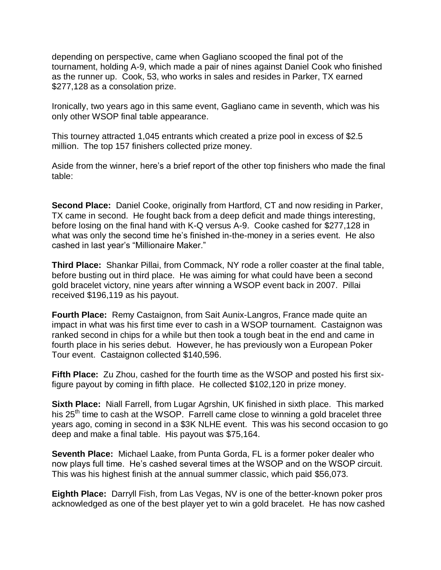depending on perspective, came when Gagliano scooped the final pot of the tournament, holding A-9, which made a pair of nines against Daniel Cook who finished as the runner up. Cook, 53, who works in sales and resides in Parker, TX earned \$277,128 as a consolation prize.

Ironically, two years ago in this same event, Gagliano came in seventh, which was his only other WSOP final table appearance.

This tourney attracted 1,045 entrants which created a prize pool in excess of \$2.5 million. The top 157 finishers collected prize money.

Aside from the winner, here's a brief report of the other top finishers who made the final table:

**Second Place:** Daniel Cooke, originally from Hartford, CT and now residing in Parker, TX came in second. He fought back from a deep deficit and made things interesting, before losing on the final hand with K-Q versus A-9. Cooke cashed for \$277,128 in what was only the second time he's finished in-the-money in a series event. He also cashed in last year's "Millionaire Maker."

**Third Place:** Shankar Pillai, from Commack, NY rode a roller coaster at the final table, before busting out in third place. He was aiming for what could have been a second gold bracelet victory, nine years after winning a WSOP event back in 2007. Pillai received \$196,119 as his payout.

**Fourth Place:** Remy Castaignon, from Sait Aunix-Langros, France made quite an impact in what was his first time ever to cash in a WSOP tournament. Castaignon was ranked second in chips for a while but then took a tough beat in the end and came in fourth place in his series debut. However, he has previously won a European Poker Tour event. Castaignon collected \$140,596.

**Fifth Place:** Zu Zhou, cashed for the fourth time as the WSOP and posted his first sixfigure payout by coming in fifth place. He collected \$102,120 in prize money.

**Sixth Place:** Niall Farrell, from Lugar Agrshin, UK finished in sixth place. This marked his 25<sup>th</sup> time to cash at the WSOP. Farrell came close to winning a gold bracelet three years ago, coming in second in a \$3K NLHE event. This was his second occasion to go deep and make a final table. His payout was \$75,164.

**Seventh Place:** Michael Laake, from Punta Gorda, FL is a former poker dealer who now plays full time. He's cashed several times at the WSOP and on the WSOP circuit. This was his highest finish at the annual summer classic, which paid \$56,073.

**Eighth Place:** Darryll Fish, from Las Vegas, NV is one of the better-known poker pros acknowledged as one of the best player yet to win a gold bracelet. He has now cashed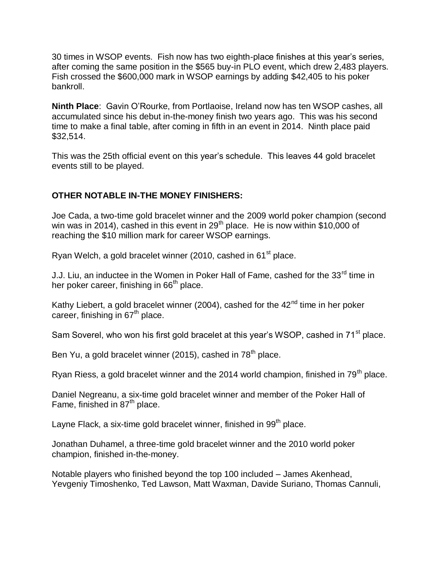30 times in WSOP events. Fish now has two eighth-place finishes at this year's series, after coming the same position in the \$565 buy-in PLO event, which drew 2,483 players. Fish crossed the \$600,000 mark in WSOP earnings by adding \$42,405 to his poker bankroll.

**Ninth Place**: Gavin O'Rourke, from Portlaoise, Ireland now has ten WSOP cashes, all accumulated since his debut in-the-money finish two years ago. This was his second time to make a final table, after coming in fifth in an event in 2014. Ninth place paid \$32,514.

This was the 25th official event on this year's schedule. This leaves 44 gold bracelet events still to be played.

#### **OTHER NOTABLE IN-THE MONEY FINISHERS:**

Joe Cada, a two-time gold bracelet winner and the 2009 world poker champion (second win was in 2014), cashed in this event in  $29<sup>th</sup>$  place. He is now within \$10,000 of reaching the \$10 million mark for career WSOP earnings.

Ryan Welch, a gold bracelet winner (2010, cashed in 61<sup>st</sup> place.

J.J. Liu, an inductee in the Women in Poker Hall of Fame, cashed for the 33<sup>rd</sup> time in her poker career, finishing in 66<sup>th</sup> place.

Kathy Liebert, a gold bracelet winner (2004), cashed for the  $42<sup>nd</sup>$  time in her poker career, finishing in  $67<sup>th</sup>$  place.

Sam Soverel, who won his first gold bracelet at this year's WSOP, cashed in 71<sup>st</sup> place.

Ben Yu, a gold bracelet winner (2015), cashed in  $78<sup>th</sup>$  place.

Ryan Riess, a gold bracelet winner and the 2014 world champion, finished in  $79<sup>th</sup>$  place.

Daniel Negreanu, a six-time gold bracelet winner and member of the Poker Hall of Fame, finished in  $87<sup>th</sup>$  place.

Layne Flack, a six-time gold bracelet winner, finished in  $99<sup>th</sup>$  place.

Jonathan Duhamel, a three-time gold bracelet winner and the 2010 world poker champion, finished in-the-money.

Notable players who finished beyond the top 100 included – James Akenhead, Yevgeniy Timoshenko, Ted Lawson, Matt Waxman, Davide Suriano, Thomas Cannuli,